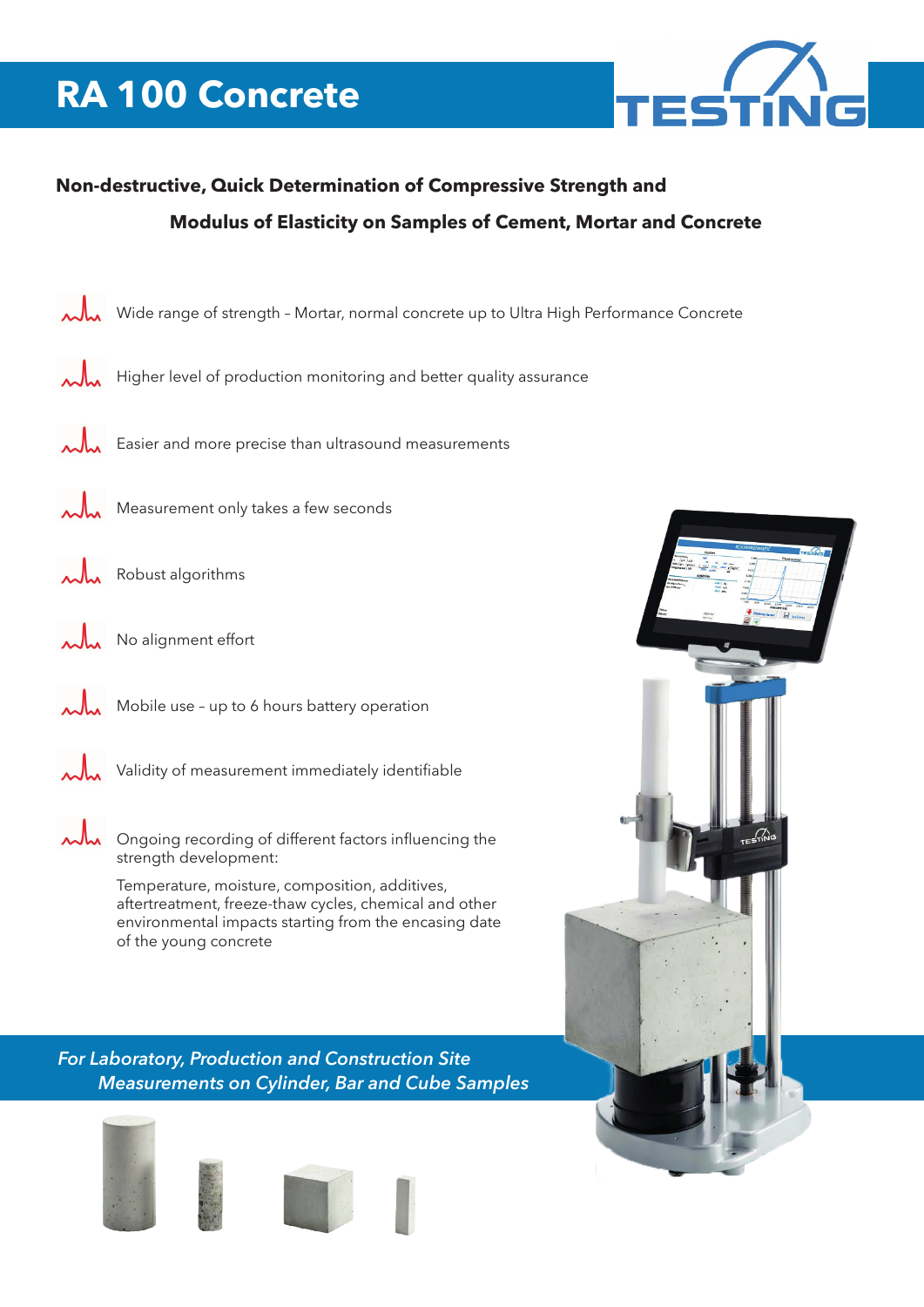# **RA 100 Concrete**



### **Non-destructive, Quick Determination of Compressive Strength and Modulus of Elasticity on Samples of Cement, Mortar and Concrete**



- $\lambda$ <sub>M</sub> Higher level of production monitoring and better quality assurance
- Easier and more precise than ultrasound measurements
- Measurement only takes a few seconds
- Robust algorithms
- No alignment effort
	- Mobile use up to 6 hours battery operation
	- Validity of measurement immediately identifiable
- $\lambda$ <sub>M</sub> Ongoing recording of different factors influencing the strength development:
	- Temperature, moisture, composition, additives, aftertreatment, freeze-thaw cycles, chemical and other environmental impacts starting from the encasing date of the young concrete

*For Laboratory, Production and Construction Site Measurements on Cylinder, Bar and Cube Samples*